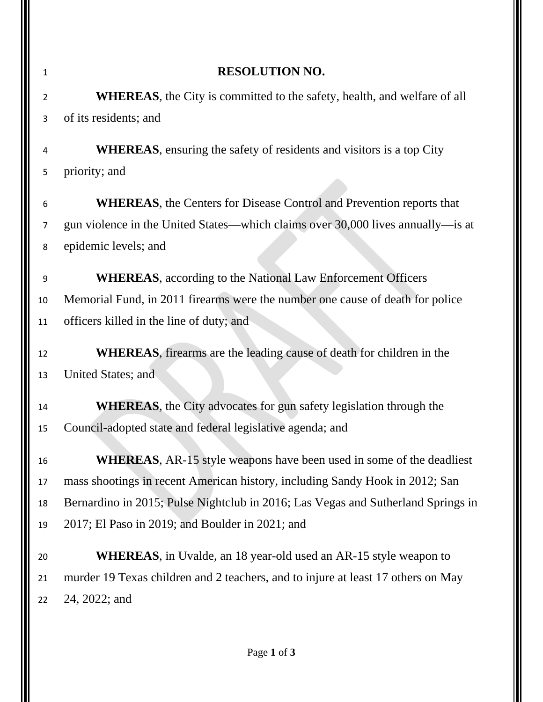| 1  | <b>RESOLUTION NO.</b>                                                            |  |  |  |  |
|----|----------------------------------------------------------------------------------|--|--|--|--|
| 2  | <b>WHEREAS</b> , the City is committed to the safety, health, and welfare of all |  |  |  |  |
| 3  | of its residents; and                                                            |  |  |  |  |
| 4  | <b>WHEREAS</b> , ensuring the safety of residents and visitors is a top City     |  |  |  |  |
| 5  | priority; and                                                                    |  |  |  |  |
| 6  | <b>WHEREAS</b> , the Centers for Disease Control and Prevention reports that     |  |  |  |  |
| 7  | gun violence in the United States—which claims over 30,000 lives annually—is at  |  |  |  |  |
| 8  | epidemic levels; and                                                             |  |  |  |  |
| 9  | <b>WHEREAS</b> , according to the National Law Enforcement Officers              |  |  |  |  |
| 10 | Memorial Fund, in 2011 firearms were the number one cause of death for police    |  |  |  |  |
| 11 | officers killed in the line of duty; and                                         |  |  |  |  |
| 12 | <b>WHEREAS</b> , firearms are the leading cause of death for children in the     |  |  |  |  |
| 13 | United States; and                                                               |  |  |  |  |
| 14 | <b>WHEREAS</b> , the City advocates for gun safety legislation through the       |  |  |  |  |
| 15 | Council-adopted state and federal legislative agenda; and                        |  |  |  |  |
| 16 | <b>WHEREAS</b> , AR-15 style weapons have been used in some of the deadliest     |  |  |  |  |
| 17 | mass shootings in recent American history, including Sandy Hook in 2012; San     |  |  |  |  |
| 18 | Bernardino in 2015; Pulse Nightclub in 2016; Las Vegas and Sutherland Springs in |  |  |  |  |
| 19 | 2017; El Paso in 2019; and Boulder in 2021; and                                  |  |  |  |  |
| 20 | <b>WHEREAS</b> , in Uvalde, an 18 year-old used an AR-15 style weapon to         |  |  |  |  |
| 21 | murder 19 Texas children and 2 teachers, and to injure at least 17 others on May |  |  |  |  |
| 22 | 24, 2022; and                                                                    |  |  |  |  |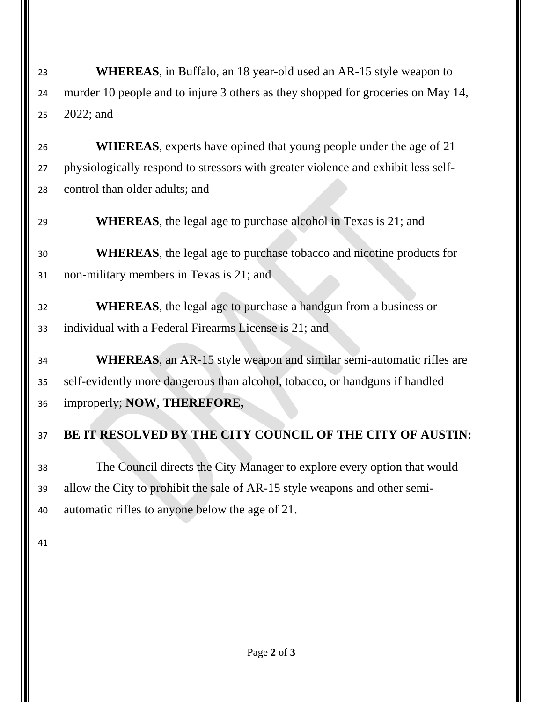**WHEREAS**, in Buffalo, an 18 year-old used an AR-15 style weapon to murder 10 people and to injure 3 others as they shopped for groceries on May 14, 2022; and

 **WHEREAS**, experts have opined that young people under the age of 21 physiologically respond to stressors with greater violence and exhibit less self-control than older adults; and

**WHEREAS**, the legal age to purchase alcohol in Texas is 21; and

 **WHEREAS**, the legal age to purchase tobacco and nicotine products for non-military members in Texas is 21; and

 **WHEREAS**, the legal age to purchase a handgun from a business or individual with a Federal Firearms License is 21; and

 **WHEREAS**, an AR-15 style weapon and similar semi-automatic rifles are self-evidently more dangerous than alcohol, tobacco, or handguns if handled improperly; **NOW, THEREFORE,**

## **BE IT RESOLVED BY THE CITY COUNCIL OF THE CITY OF AUSTIN:**

 The Council directs the City Manager to explore every option that would allow the City to prohibit the sale of AR-15 style weapons and other semi-automatic rifles to anyone below the age of 21.